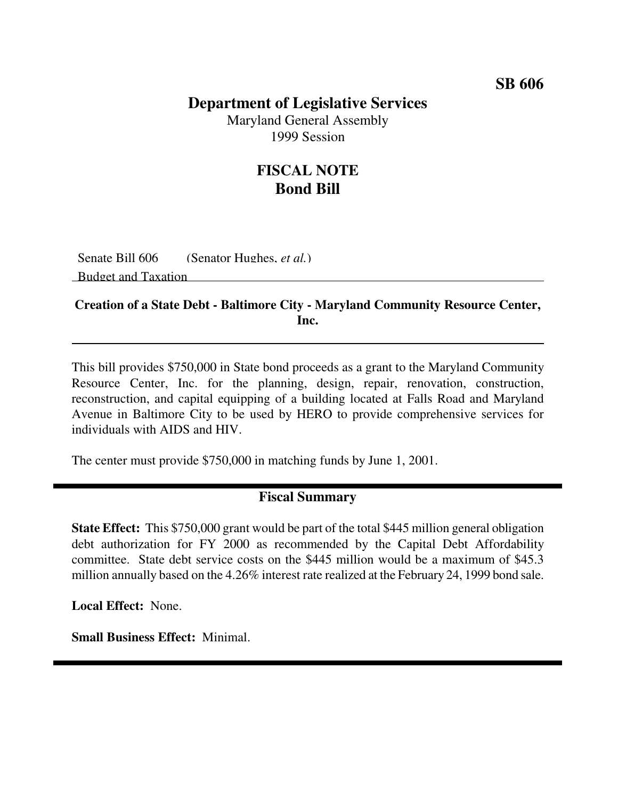#### **SB 606**

### **Department of Legislative Services**

Maryland General Assembly 1999 Session

## **FISCAL NOTE Bond Bill**

Senate Bill 606 (Senator Hughes, *et al.*) Budget and Taxation

#### **Creation of a State Debt - Baltimore City - Maryland Community Resource Center, Inc.**

This bill provides \$750,000 in State bond proceeds as a grant to the Maryland Community Resource Center, Inc. for the planning, design, repair, renovation, construction, reconstruction, and capital equipping of a building located at Falls Road and Maryland Avenue in Baltimore City to be used by HERO to provide comprehensive services for individuals with AIDS and HIV.

The center must provide \$750,000 in matching funds by June 1, 2001.

#### **Fiscal Summary**

**State Effect:** This \$750,000 grant would be part of the total \$445 million general obligation debt authorization for FY 2000 as recommended by the Capital Debt Affordability committee. State debt service costs on the \$445 million would be a maximum of \$45.3 million annually based on the 4.26% interest rate realized at the February 24, 1999 bond sale.

**Local Effect:** None.

**Small Business Effect:** Minimal.